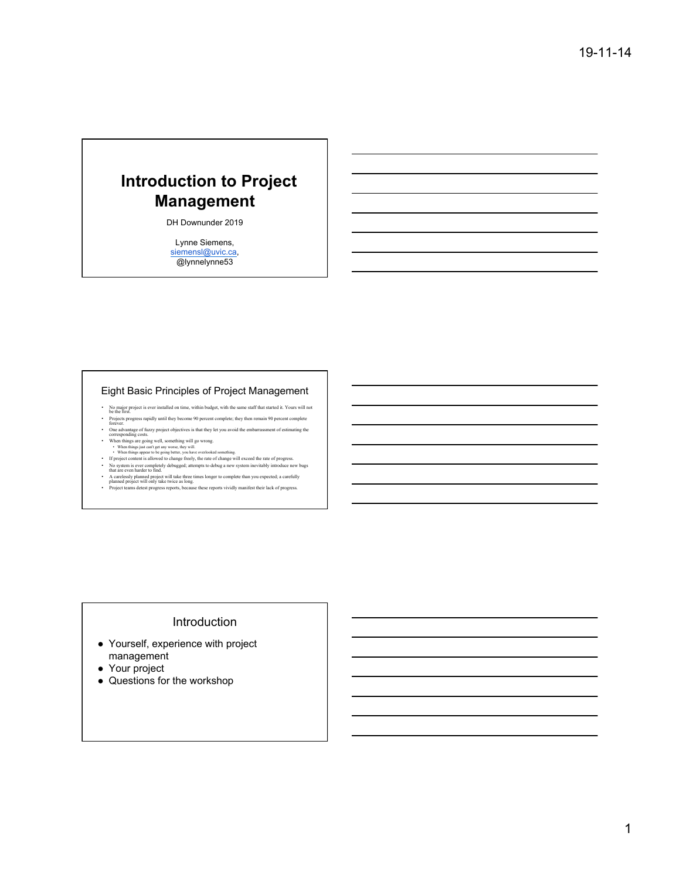# **Introduction to Project Management**

DH Downunder 2019

Lynne Siemens, siemensl@uvic.ca, @lynnelynne53

#### Eight Basic Principles of Project Management

- No major project is ever installed on time, within budget, with the same staff that started it. Yours will not be the first.
- Projects progress rapidly until they become 90 percent complete; they then remain 90 percent complete forever.
- One advantage of fuzzy project objectives is that they let you avoid the embarrassment of estimating the<br>corresponding costs.<br>When things are going welt, something well go wrong.<br>When things appear to be going better, you
- 
- 
- 
- 
- A carelessly planned project will take three times longer to complete than you expected; a carefully<br>• planned project will only take twice as long.<br>• Project teams detest progress reports, because these reports vividly

Introduction

- Yourself, experience with project management
- Your project
- Questions for the workshop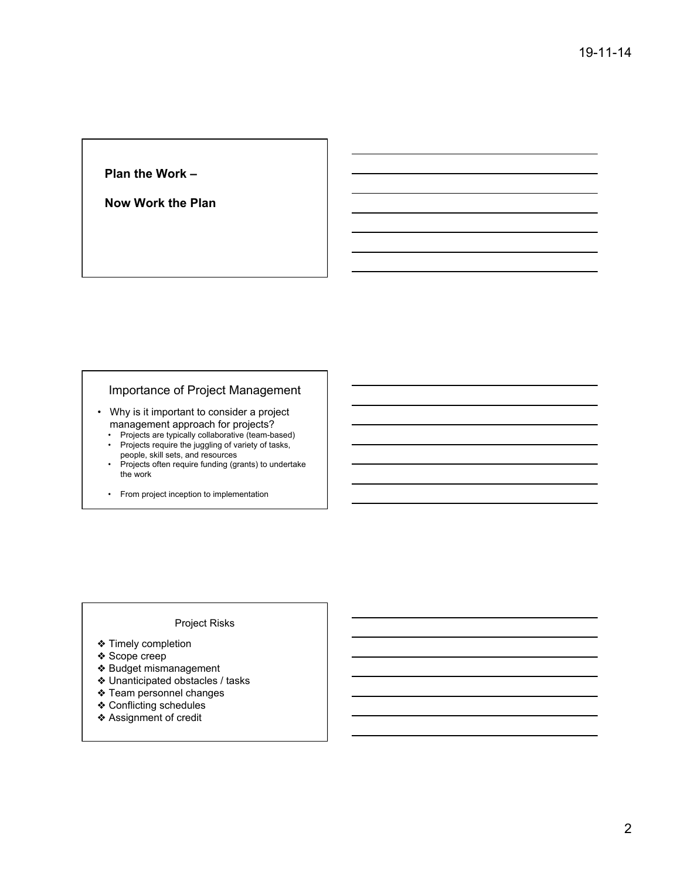#### **Plan the Work –**

**Now Work the Plan** 

# Importance of Project Management

- Why is it important to consider a project management approach for projects?
	- Projects are typically collaborative (team-based) • Projects require the juggling of variety of tasks,
	- people, skill sets, and resources
	- Projects often require funding (grants) to undertake the work
	- From project inception to implementation

#### Project Risks

- ❖ Timely completion
- ❖ Scope creep
- ❖ Budget mismanagement
- ❖ Unanticipated obstacles / tasks
- ❖ Team personnel changes
- ❖ Conflicting schedules
- ❖ Assignment of credit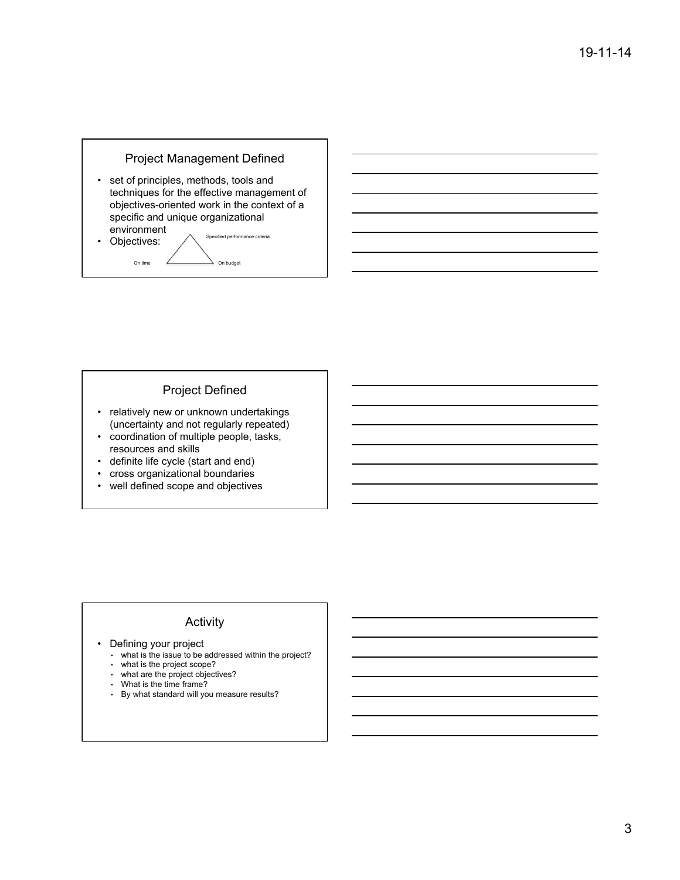# Project Management Defined

• set of principles, methods, tools and techniques for the effective management of objectives-oriented work in the context of a specific and unique organizational environment

• Objectives:  $\bigwedge$  Specified performance criteria On time <u>2</u> On budget

#### Project Defined

- relatively new or unknown undertakings (uncertainty and not regularly repeated)
- coordination of multiple people, tasks, resources and skills
- definite life cycle (start and end)
- cross organizational boundaries
- well defined scope and objectives

## Activity

- Defining your project
	- what is the issue to be addressed within the project?
	- what is the project scope?
	- what are the project objectives?
	- What is the time frame?
	- By what standard will you measure results?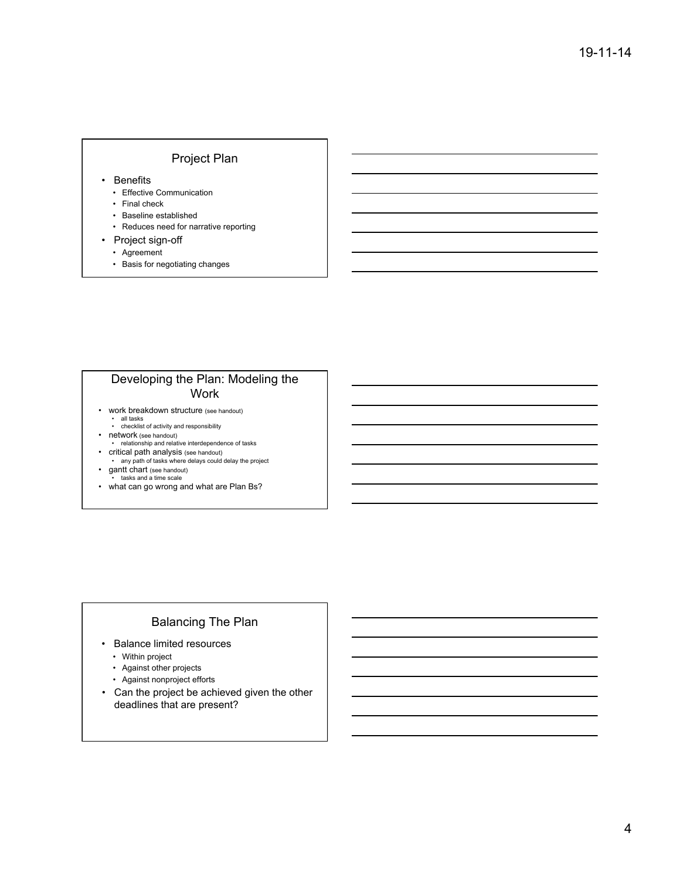#### Project Plan

- Benefits
	- Effective Communication
	- Final check
	- Baseline established
	- Reduces need for narrative reporting
- Project sign-off
	- Agreement
	- Basis for negotiating changes

# Developing the Plan: Modeling the **Work**

- work breakdown structure (see handout) • all tasks • checklist of activity and responsibility
- network (see handout) • relationship and relative interdependence of tasks
- critical path analysis (see handout)
- any path of tasks where delays could delay the project • gantt chart (see handout)
- tasks and a time scale
- what can go wrong and what are Plan Bs?

# Balancing The Plan

- Balance limited resources
	- Within project
	- Against other projects
	- Against nonproject efforts
- Can the project be achieved given the other deadlines that are present?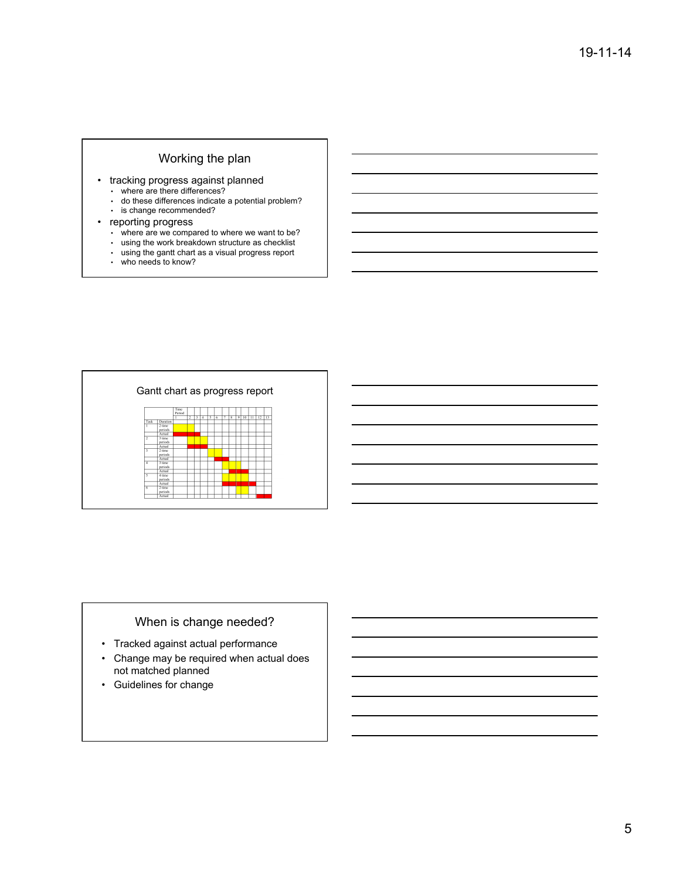### Working the plan

- tracking progress against planned
	- where are there differences?
	- do these differences indicate a potential problem?
	- is change recommended?

#### • reporting progress

- where are we compared to where we want to be?
- using the work breakdown structure as checklist
- using the gantt chart as a visual progress report
- who needs to know?



# When is change needed?

- Tracked against actual performance
- Change may be required when actual does not matched planned
- Guidelines for change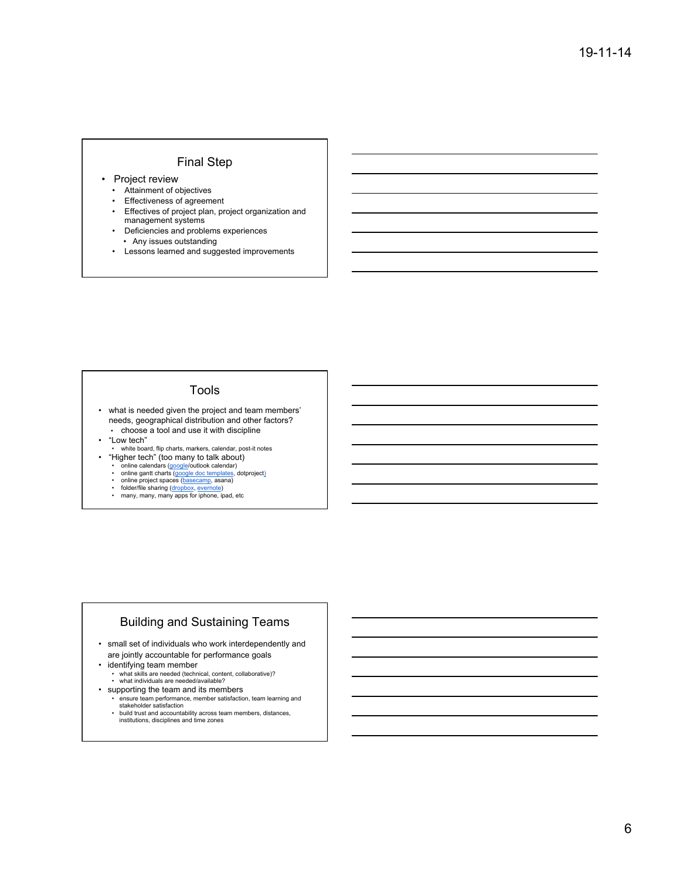#### Final Step

- Project review
	- Attainment of objectives
	- Effectiveness of agreement
	- Effectives of project plan, project organization and management systems
	- Deficiencies and problems experiences • Any issues outstanding
	- Lessons learned and suggested improvements

#### Tools

- what is needed given the project and team members' needs, geographical distribution and other factors? • choose a tool and use it with discipline
- "Low tech"
- white board, flip charts, markers, calendar, post-it notes • "Higher tech" (too many to talk about)
- 
- online calendars (google/outlook calendar)<br>• online gantt charts (google doc templates, dotproject)<br>• online project spaces (basecamp, asana)<br>• folder/file sharing (dropbox, evernote)<br>• many, many, many apps for iphone,
- 
- 

#### Building and Sustaining Teams

- small set of individuals who work interdependently and are jointly accountable for performance goals
- identifying team member
- what skills are needed (technical, content, collaborative)? what individuals are needed/available?
- supporting the team and its members
- ensure team performance, member satisfaction, team learning and stakeholder satisfaction • build trust and accountability across team members, distances,
- institutions, disciplines and time zones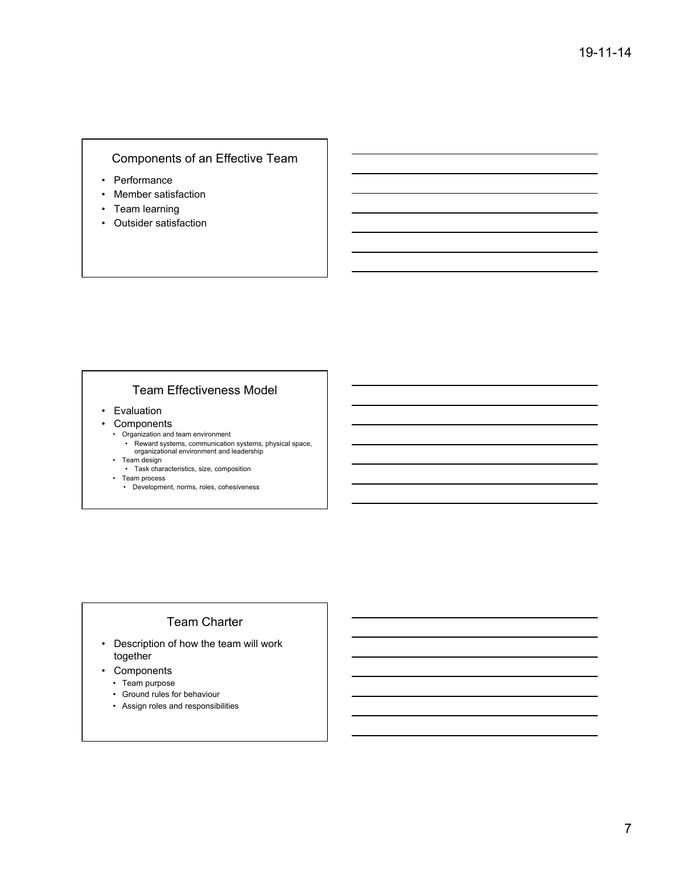# Components of an Effective Team

- Performance
- Member satisfaction
- Team learning
- Outsider satisfaction

# Team Effectiveness Model

- Evaluation
- Components
- Organization and team environment
	- Reward systems, communication systems, physical space, organizational environment and leadership
- Team design
	- Task characteristics, size, composition
- Team process
- Development, norms, roles, cohesiveness

# Team Charter

- Description of how the team will work together
- Components
	- Team purpose
	- Ground rules for behaviour
	- Assign roles and responsibilities